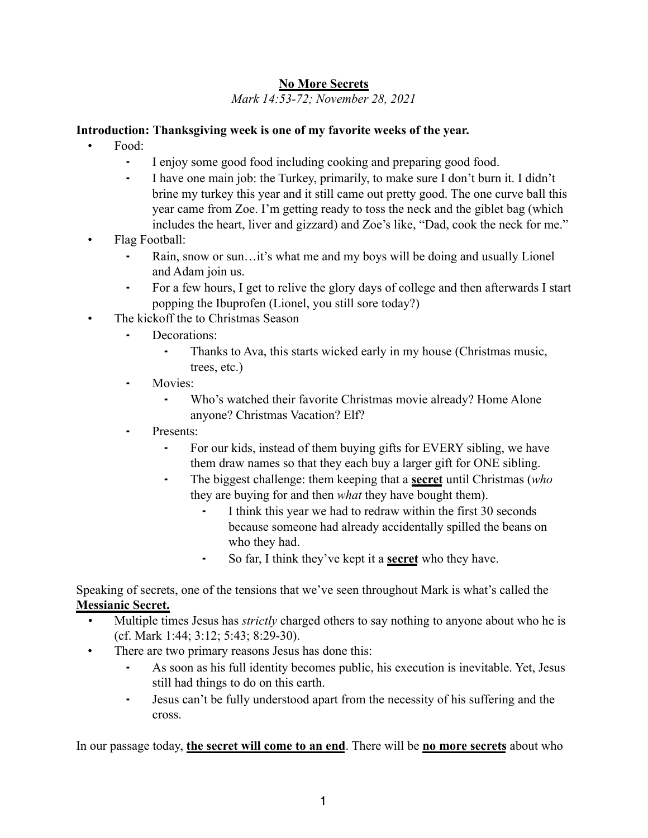# **No More Secrets**

*Mark 14:53-72; November 28, 2021*

#### **Introduction: Thanksgiving week is one of my favorite weeks of the year.**

- Food:
	- ⁃ I enjoy some good food including cooking and preparing good food.
	- ⁃ I have one main job: the Turkey, primarily, to make sure I don't burn it. I didn't brine my turkey this year and it still came out pretty good. The one curve ball this year came from Zoe. I'm getting ready to toss the neck and the giblet bag (which includes the heart, liver and gizzard) and Zoe's like, "Dad, cook the neck for me."
- Flag Football:
	- Rain, snow or sun...it's what me and my boys will be doing and usually Lionel and Adam join us.
	- ⁃ For a few hours, I get to relive the glory days of college and then afterwards I start popping the Ibuprofen (Lionel, you still sore today?)
- The kickoff the to Christmas Season
	- Decorations:
		- Thanks to Ava, this starts wicked early in my house (Christmas music, trees, etc.)
	- ⁃ Movies:
		- ⁃ Who's watched their favorite Christmas movie already? Home Alone anyone? Christmas Vacation? Elf?
	- ⁃ Presents:
		- For our kids, instead of them buying gifts for EVERY sibling, we have them draw names so that they each buy a larger gift for ONE sibling.
		- ⁃ The biggest challenge: them keeping that a **secret** until Christmas (*who* they are buying for and then *what* they have bought them).
			- ⁃ I think this year we had to redraw within the first 30 seconds because someone had already accidentally spilled the beans on who they had.
			- ⁃ So far, I think they've kept it a **secret** who they have.

Speaking of secrets, one of the tensions that we've seen throughout Mark is what's called the **Messianic Secret.** 

- *•* Multiple times Jesus has *strictly* charged others to say nothing to anyone about who he is (cf. Mark 1:44; 3:12; 5:43; 8:29-30).
- There are two primary reasons Jesus has done this:
	- ⁃ As soon as his full identity becomes public, his execution is inevitable. Yet, Jesus still had things to do on this earth.
	- ⁃ Jesus can't be fully understood apart from the necessity of his suffering and the cross.

In our passage today, **the secret will come to an end**. There will be **no more secrets** about who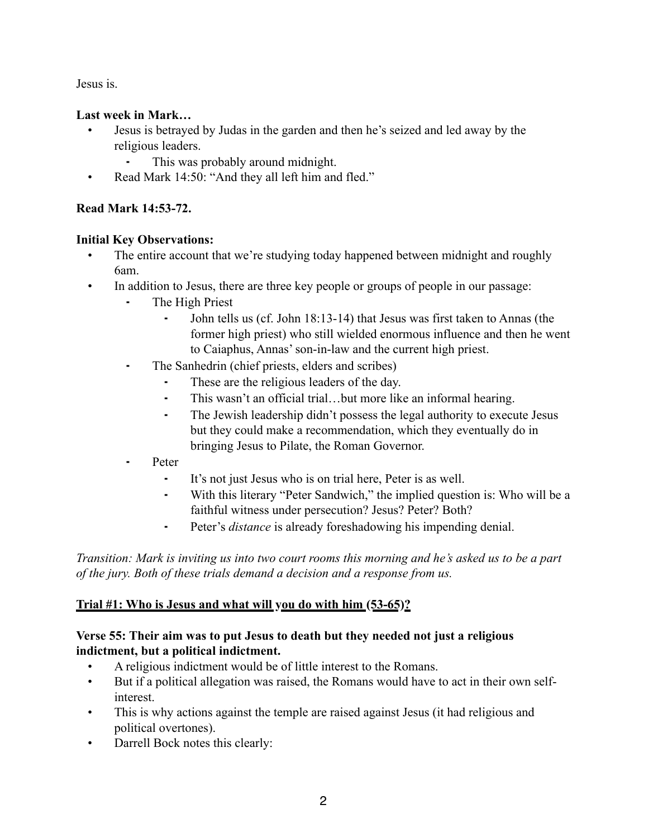Jesus is.

### **Last week in Mark…**

- Jesus is betrayed by Judas in the garden and then he's seized and led away by the religious leaders.
	- ⁃ This was probably around midnight.
- Read Mark 14:50: "And they all left him and fled."

# **Read Mark 14:53-72.**

### **Initial Key Observations:**

- The entire account that we're studying today happened between midnight and roughly 6am.
- In addition to Jesus, there are three key people or groups of people in our passage:
	- The High Priest
		- John tells us (cf. John 18:13-14) that Jesus was first taken to Annas (the former high priest) who still wielded enormous influence and then he went to Caiaphus, Annas' son-in-law and the current high priest.
	- ⁃ The Sanhedrin (chief priests, elders and scribes)
		- ⁃ These are the religious leaders of the day.
		- ⁃ This wasn't an official trial…but more like an informal hearing.
		- ⁃ The Jewish leadership didn't possess the legal authority to execute Jesus but they could make a recommendation, which they eventually do in bringing Jesus to Pilate, the Roman Governor.
	- ⁃ Peter
		- ⁃ It's not just Jesus who is on trial here, Peter is as well.
		- ⁃ With this literary "Peter Sandwich," the implied question is: Who will be a faithful witness under persecution? Jesus? Peter? Both?
		- ⁃ Peter's *distance* is already foreshadowing his impending denial.

*Transition: Mark is inviting us into two court rooms this morning and he's asked us to be a part of the jury. Both of these trials demand a decision and a response from us.*

# **Trial #1: Who is Jesus and what will you do with him (53-65)?**

# **Verse 55: Their aim was to put Jesus to death but they needed not just a religious indictment, but a political indictment.**

- A religious indictment would be of little interest to the Romans.
- But if a political allegation was raised, the Romans would have to act in their own selfinterest.
- This is why actions against the temple are raised against Jesus (it had religious and political overtones).
- Darrell Bock notes this clearly: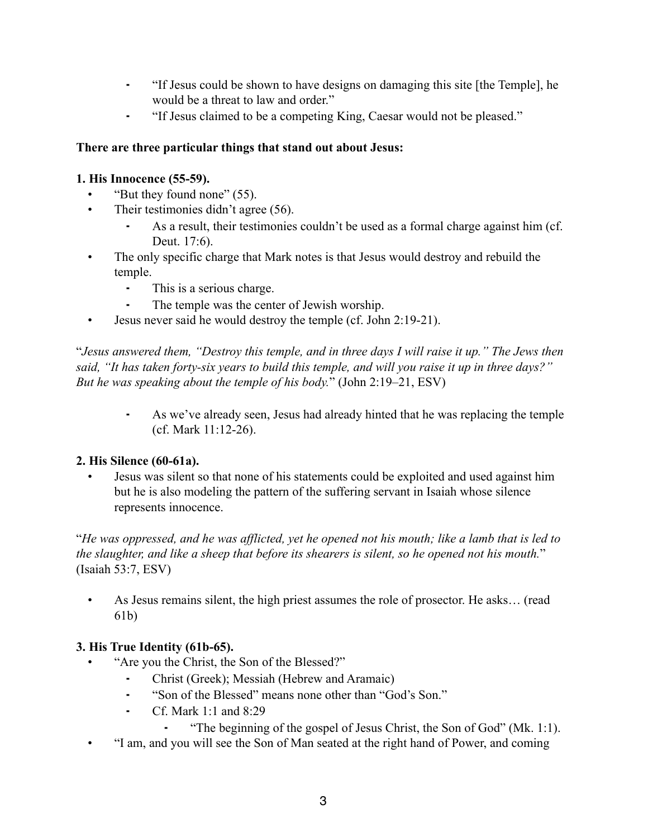- ⁃ "If Jesus could be shown to have designs on damaging this site [the Temple], he would be a threat to law and order."
- ⁃ "If Jesus claimed to be a competing King, Caesar would not be pleased."

### **There are three particular things that stand out about Jesus:**

### **1. His Innocence (55-59).**

- "But they found none" (55).
- Their testimonies didn't agree (56).
	- As a result, their testimonies couldn't be used as a formal charge against him (cf. Deut. 17:6).
- The only specific charge that Mark notes is that Jesus would destroy and rebuild the temple.
	- ⁃ This is a serious charge.
	- The temple was the center of Jewish worship.
- Jesus never said he would destroy the temple (cf. John 2:19-21).

"*Jesus answered them, "Destroy this temple, and in three days I will raise it up." The Jews then said, "It has taken forty-six years to build this temple, and will you raise it up in three days?" But he was speaking about the temple of his body.*" (John 2:19–21, ESV)

As we've already seen, Jesus had already hinted that he was replacing the temple (cf. Mark 11:12-26).

# **2. His Silence (60-61a).**

• Jesus was silent so that none of his statements could be exploited and used against him but he is also modeling the pattern of the suffering servant in Isaiah whose silence represents innocence.

"*He was oppressed, and he was afflicted, yet he opened not his mouth; like a lamb that is led to the slaughter, and like a sheep that before its shearers is silent, so he opened not his mouth.*" (Isaiah 53:7, ESV)

• As Jesus remains silent, the high priest assumes the role of prosector. He asks… (read 61b)

# **3. His True Identity (61b-65).**

- "Are you the Christ, the Son of the Blessed?"
	- ⁃ Christ (Greek); Messiah (Hebrew and Aramaic)
	- ⁃ "Son of the Blessed" means none other than "God's Son."
	- ⁃ Cf. Mark 1:1 and 8:29
		- ⁃ "The beginning of the gospel of Jesus Christ, the Son of God" (Mk. 1:1).
- "I am, and you will see the Son of Man seated at the right hand of Power, and coming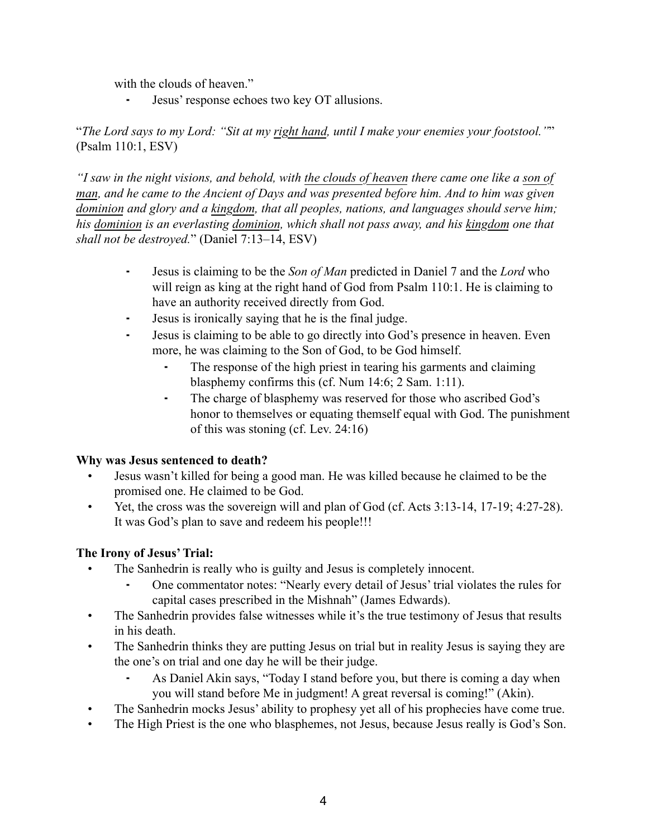with the clouds of heaven."

⁃ Jesus' response echoes two key OT allusions.

"*The Lord says to my Lord: "Sit at my right hand, until I make your enemies your footstool."*" (Psalm 110:1, ESV)

*"I saw in the night visions, and behold, with the clouds of heaven there came one like a son of man, and he came to the Ancient of Days and was presented before him. And to him was given dominion and glory and a kingdom, that all peoples, nations, and languages should serve him; his dominion is an everlasting dominion, which shall not pass away, and his kingdom one that shall not be destroyed.*" (Daniel 7:13–14, ESV)

- ⁃ Jesus is claiming to be the *Son of Man* predicted in Daniel 7 and the *Lord* who will reign as king at the right hand of God from Psalm 110:1. He is claiming to have an authority received directly from God.
- ⁃ Jesus is ironically saying that he is the final judge.
- Jesus is claiming to be able to go directly into God's presence in heaven. Even more, he was claiming to the Son of God, to be God himself.
	- The response of the high priest in tearing his garments and claiming blasphemy confirms this (cf. Num 14:6; 2 Sam. 1:11).
	- ⁃ The charge of blasphemy was reserved for those who ascribed God's honor to themselves or equating themself equal with God. The punishment of this was stoning (cf. Lev. 24:16)

#### **Why was Jesus sentenced to death?**

- Jesus wasn't killed for being a good man. He was killed because he claimed to be the promised one. He claimed to be God.
- Yet, the cross was the sovereign will and plan of God (cf. Acts 3:13-14, 17-19; 4:27-28). It was God's plan to save and redeem his people!!!

#### **The Irony of Jesus' Trial:**

- The Sanhedrin is really who is guilty and Jesus is completely innocent.
	- ⁃ One commentator notes: "Nearly every detail of Jesus' trial violates the rules for capital cases prescribed in the Mishnah" (James Edwards).
- The Sanhedrin provides false witnesses while it's the true testimony of Jesus that results in his death.
- The Sanhedrin thinks they are putting Jesus on trial but in reality Jesus is saying they are the one's on trial and one day he will be their judge.
	- As Daniel Akin says, "Today I stand before you, but there is coming a day when you will stand before Me in judgment! A great reversal is coming!" (Akin).
- The Sanhedrin mocks Jesus' ability to prophesy yet all of his prophecies have come true.
- The High Priest is the one who blasphemes, not Jesus, because Jesus really is God's Son.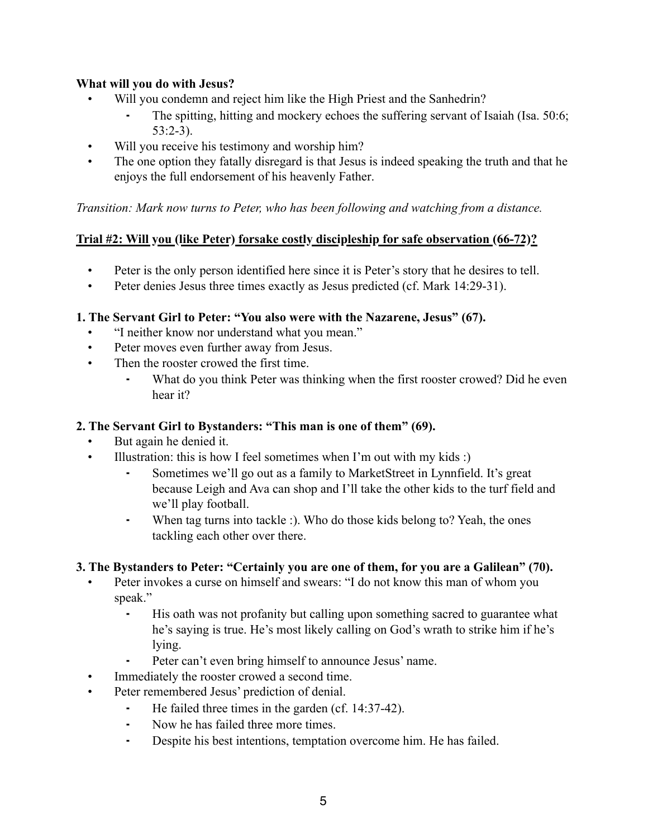### **What will you do with Jesus?**

- Will you condemn and reject him like the High Priest and the Sanhedrin?
	- ⁃ The spitting, hitting and mockery echoes the suffering servant of Isaiah (Isa. 50:6; 53:2-3).
- Will you receive his testimony and worship him?
- The one option they fatally disregard is that Jesus is indeed speaking the truth and that he enjoys the full endorsement of his heavenly Father.

*Transition: Mark now turns to Peter, who has been following and watching from a distance.*

# **Trial #2: Will you (like Peter) forsake costly discipleship for safe observation (66-72)?**

- Peter is the only person identified here since it is Peter's story that he desires to tell.
- Peter denies Jesus three times exactly as Jesus predicted (cf. Mark 14:29-31).

### **1. The Servant Girl to Peter: "You also were with the Nazarene, Jesus" (67).**

- "I neither know nor understand what you mean."
- Peter moves even further away from Jesus.
- Then the rooster crowed the first time.
	- What do you think Peter was thinking when the first rooster crowed? Did he even hear it?

### **2. The Servant Girl to Bystanders: "This man is one of them" (69).**

- But again he denied it.
- Illustration: this is how I feel sometimes when I'm out with my kids :)
	- Sometimes we'll go out as a family to MarketStreet in Lynnfield. It's great because Leigh and Ava can shop and I'll take the other kids to the turf field and we'll play football.
	- ⁃ When tag turns into tackle :). Who do those kids belong to? Yeah, the ones tackling each other over there.

# **3. The Bystanders to Peter: "Certainly you are one of them, for you are a Galilean" (70).**

- Peter invokes a curse on himself and swears: "I do not know this man of whom you speak."
	- His oath was not profanity but calling upon something sacred to guarantee what he's saying is true. He's most likely calling on God's wrath to strike him if he's lying.
		- Peter can't even bring himself to announce Jesus' name.
	- Immediately the rooster crowed a second time.
- Peter remembered Jesus' prediction of denial.
	- He failed three times in the garden (cf.  $14:37-42$ ).
	- ⁃ Now he has failed three more times.
	- ⁃ Despite his best intentions, temptation overcome him. He has failed.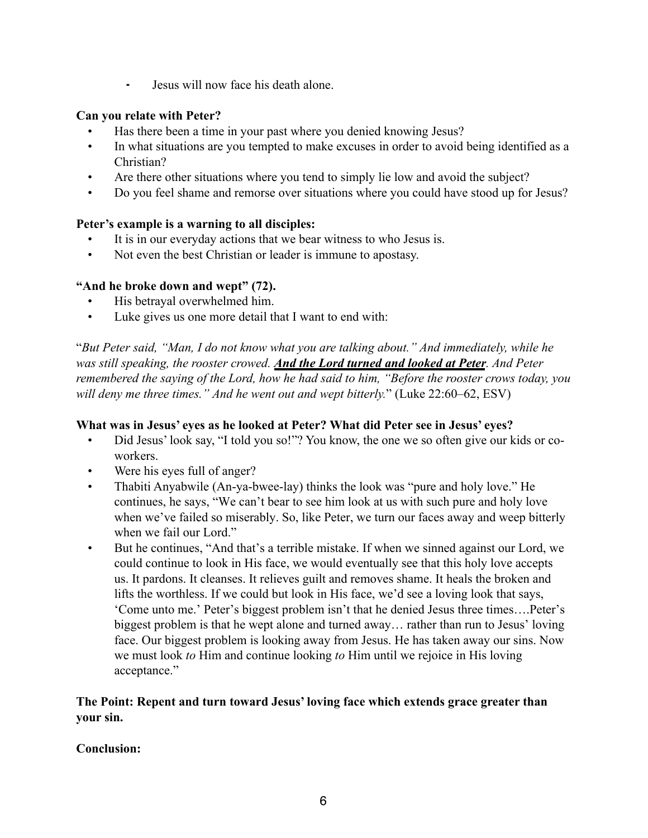⁃ Jesus will now face his death alone.

### **Can you relate with Peter?**

- Has there been a time in your past where you denied knowing Jesus?
- In what situations are you tempted to make excuses in order to avoid being identified as a Christian?
- Are there other situations where you tend to simply lie low and avoid the subject?
- Do you feel shame and remorse over situations where you could have stood up for Jesus?

### **Peter's example is a warning to all disciples:**

- It is in our everyday actions that we bear witness to who Jesus is.
- Not even the best Christian or leader is immune to apostasy.

### **"And he broke down and wept" (72).**

- His betrayal overwhelmed him.
- Luke gives us one more detail that I want to end with:

"*But Peter said, "Man, I do not know what you are talking about." And immediately, while he was still speaking, the rooster crowed. And the Lord turned and looked at Peter. And Peter remembered the saying of the Lord, how he had said to him, "Before the rooster crows today, you will deny me three times." And he went out and wept bitterly.*" (Luke 22:60–62, ESV)

#### **What was in Jesus' eyes as he looked at Peter? What did Peter see in Jesus' eyes?**

- Did Jesus' look say, "I told you so!"? You know, the one we so often give our kids or coworkers.
- Were his eyes full of anger?
- Thabiti Anyabwile (An-ya-bwee-lay) thinks the look was "pure and holy love." He continues, he says, "We can't bear to see him look at us with such pure and holy love when we've failed so miserably. So, like Peter, we turn our faces away and weep bitterly when we fail our Lord."
- But he continues, "And that's a terrible mistake. If when we sinned against our Lord, we could continue to look in His face, we would eventually see that this holy love accepts us. It pardons. It cleanses. It relieves guilt and removes shame. It heals the broken and lifts the worthless. If we could but look in His face, we'd see a loving look that says, 'Come unto me.' Peter's biggest problem isn't that he denied Jesus three times….Peter's biggest problem is that he wept alone and turned away… rather than run to Jesus' loving face. Our biggest problem is looking away from Jesus. He has taken away our sins. Now we must look *to* Him and continue looking *to* Him until we rejoice in His loving acceptance."

### **The Point: Repent and turn toward Jesus' loving face which extends grace greater than your sin.**

# **Conclusion:**